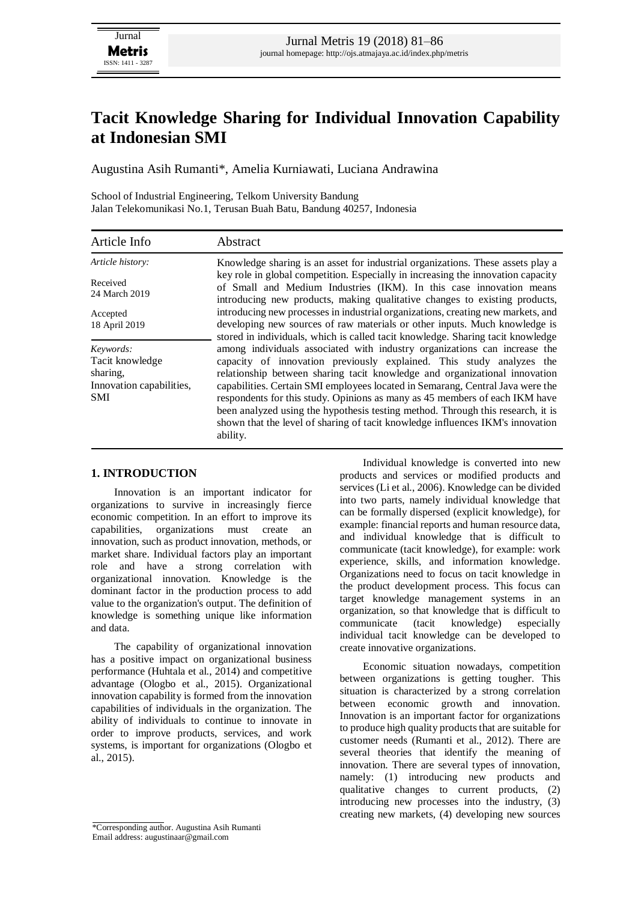# **Tacit Knowledge Sharing for Individual Innovation Capability at Indonesian SMI**

Augustina Asih Rumanti\*, Amelia Kurniawati, Luciana Andrawina

School of Industrial Engineering, Telkom University Bandung Jalan Telekomunikasi No.1, Terusan Buah Batu, Bandung 40257, Indonesia

| Article Info              | Abstract                                                                                                                                                                                                                              |  |  |  |  |
|---------------------------|---------------------------------------------------------------------------------------------------------------------------------------------------------------------------------------------------------------------------------------|--|--|--|--|
| Article history:          | Knowledge sharing is an asset for industrial organizations. These assets play a                                                                                                                                                       |  |  |  |  |
| Received<br>24 March 2019 | key role in global competition. Especially in increasing the innovation capacity<br>of Small and Medium Industries (IKM). In this case innovation means<br>introducing new products, making qualitative changes to existing products, |  |  |  |  |
| Accepted                  | introducing new processes in industrial organizations, creating new markets, and                                                                                                                                                      |  |  |  |  |
| 18 April 2019             | developing new sources of raw materials or other inputs. Much knowledge is<br>stored in individuals, which is called tacit knowledge. Sharing tacit knowledge                                                                         |  |  |  |  |
| Keywords:                 | among individuals associated with industry organizations can increase the                                                                                                                                                             |  |  |  |  |
| Tacit knowledge           | capacity of innovation previously explained. This study analyzes the                                                                                                                                                                  |  |  |  |  |
| sharing,                  | relationship between sharing tacit knowledge and organizational innovation                                                                                                                                                            |  |  |  |  |
| Innovation capabilities,  | capabilities. Certain SMI employees located in Semarang, Central Java were the                                                                                                                                                        |  |  |  |  |
| <b>SMI</b>                | respondents for this study. Opinions as many as 45 members of each IKM have                                                                                                                                                           |  |  |  |  |
|                           | been analyzed using the hypothesis testing method. Through this research, it is<br>shown that the level of sharing of tacit knowledge influences IKM's innovation<br>ability.                                                         |  |  |  |  |

## **1. INTRODUCTION**

Innovation is an important indicator for organizations to survive in increasingly fierce economic competition. In an effort to improve its capabilities, organizations must create an innovation, such as product innovation, methods, or market share. Individual factors play an important role and have a strong correlation with organizational innovation. Knowledge is the dominant factor in the production process to add value to the organization's output. The definition of knowledge is something unique like information and data.

The capability of organizational innovation has a positive impact on organizational business performance (Huhtala et al., 2014) and competitive advantage (Ologbo et al., 2015). Organizational innovation capability is formed from the innovation capabilities of individuals in the organization. The ability of individuals to continue to innovate in order to improve products, services, and work systems, is important for organizations (Ologbo et al., 2015).

Individual knowledge is converted into new products and services or modified products and services (Li et al., 2006). Knowledge can be divided into two parts, namely individual knowledge that can be formally dispersed (explicit knowledge), for example: financial reports and human resource data, and individual knowledge that is difficult to communicate (tacit knowledge), for example: work experience, skills, and information knowledge. Organizations need to focus on tacit knowledge in the product development process. This focus can target knowledge management systems in an organization, so that knowledge that is difficult to communicate (tacit knowledge) especially individual tacit knowledge can be developed to create innovative organizations.

Economic situation nowadays, competition between organizations is getting tougher. This situation is characterized by a strong correlation between economic growth and innovation. Innovation is an important factor for organizations to produce high quality products that are suitable for customer needs (Rumanti et al., 2012). There are several theories that identify the meaning of innovation. There are several types of innovation, namely: (1) introducing new products and qualitative changes to current products, (2) introducing new processes into the industry, (3) creating new markets, (4) developing new sources

<sup>\*</sup>Corresponding author. Augustina Asih Rumanti Email address: augustinaar@gmail.com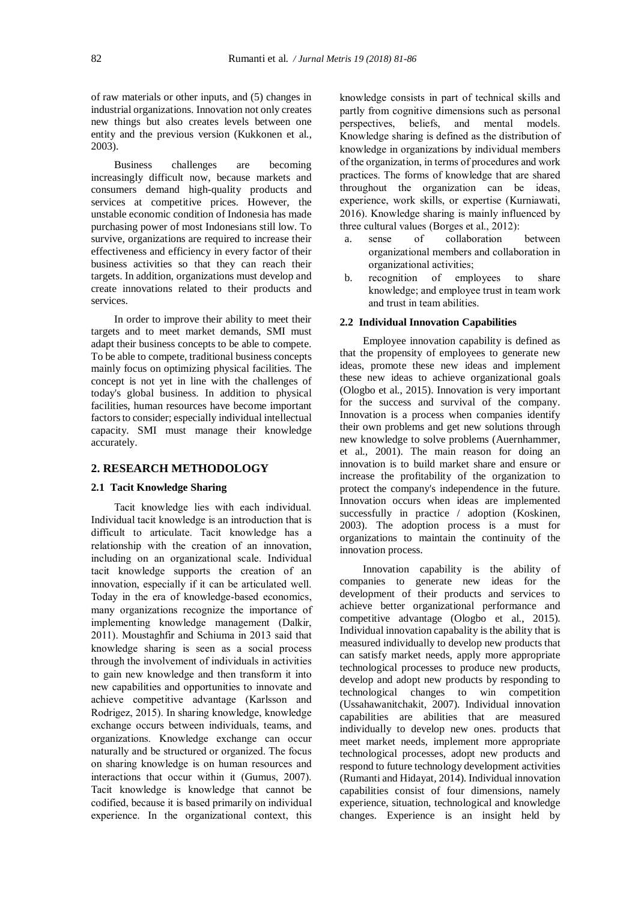of raw materials or other inputs, and (5) changes in industrial organizations. Innovation not only creates new things but also creates levels between one entity and the previous version (Kukkonen et al., 2003).

Business challenges are becoming increasingly difficult now, because markets and consumers demand high-quality products and services at competitive prices. However, the unstable economic condition of Indonesia has made purchasing power of most Indonesians still low. To survive, organizations are required to increase their effectiveness and efficiency in every factor of their business activities so that they can reach their targets. In addition, organizations must develop and create innovations related to their products and services.

In order to improve their ability to meet their targets and to meet market demands, SMI must adapt their business concepts to be able to compete. To be able to compete, traditional business concepts mainly focus on optimizing physical facilities. The concept is not yet in line with the challenges of today's global business. In addition to physical facilities, human resources have become important factors to consider; especially individual intellectual capacity. SMI must manage their knowledge accurately.

## **2. RESEARCH METHODOLOGY**

## **2.1 Tacit Knowledge Sharing**

Tacit knowledge lies with each individual. Individual tacit knowledge is an introduction that is difficult to articulate. Tacit knowledge has a relationship with the creation of an innovation, including on an organizational scale. Individual tacit knowledge supports the creation of an innovation, especially if it can be articulated well. Today in the era of knowledge-based economics, many organizations recognize the importance of implementing knowledge management (Dalkir, 2011). Moustaghfir and Schiuma in 2013 said that knowledge sharing is seen as a social process through the involvement of individuals in activities to gain new knowledge and then transform it into new capabilities and opportunities to innovate and achieve competitive advantage (Karlsson and Rodrigez, 2015). In sharing knowledge, knowledge exchange occurs between individuals, teams, and organizations. Knowledge exchange can occur naturally and be structured or organized. The focus on sharing knowledge is on human resources and interactions that occur within it (Gumus, 2007). Tacit knowledge is knowledge that cannot be codified, because it is based primarily on individual experience. In the organizational context, this knowledge consists in part of technical skills and partly from cognitive dimensions such as personal perspectives, beliefs, and mental models. Knowledge sharing is defined as the distribution of knowledge in organizations by individual members of the organization, in terms of procedures and work practices. The forms of knowledge that are shared throughout the organization can be ideas, experience, work skills, or expertise (Kurniawati, 2016). Knowledge sharing is mainly influenced by three cultural values (Borges et al., 2012):

- a. sense of collaboration between organizational members and collaboration in organizational activities;
- b. recognition of employees to share knowledge; and employee trust in team work and trust in team abilities.

#### **2.2 Individual Innovation Capabilities**

Employee innovation capability is defined as that the propensity of employees to generate new ideas, promote these new ideas and implement these new ideas to achieve organizational goals (Ologbo et al., 2015). Innovation is very important for the success and survival of the company. Innovation is a process when companies identify their own problems and get new solutions through new knowledge to solve problems (Auernhammer, et al., 2001). The main reason for doing an innovation is to build market share and ensure or increase the profitability of the organization to protect the company's independence in the future. Innovation occurs when ideas are implemented successfully in practice / adoption (Koskinen, 2003). The adoption process is a must for organizations to maintain the continuity of the innovation process.

Innovation capability is the ability of companies to generate new ideas for the development of their products and services to achieve better organizational performance and competitive advantage (Ologbo et al., 2015). Individual innovation capabality is the ability that is measured individually to develop new products that can satisfy market needs, apply more appropriate technological processes to produce new products, develop and adopt new products by responding to technological changes to win competition (Ussahawanitchakit, 2007). Individual innovation capabilities are abilities that are measured individually to develop new ones. products that meet market needs, implement more appropriate technological processes, adopt new products and respond to future technology development activities (Rumanti and Hidayat, 2014). Individual innovation capabilities consist of four dimensions, namely experience, situation, technological and knowledge changes. Experience is an insight held by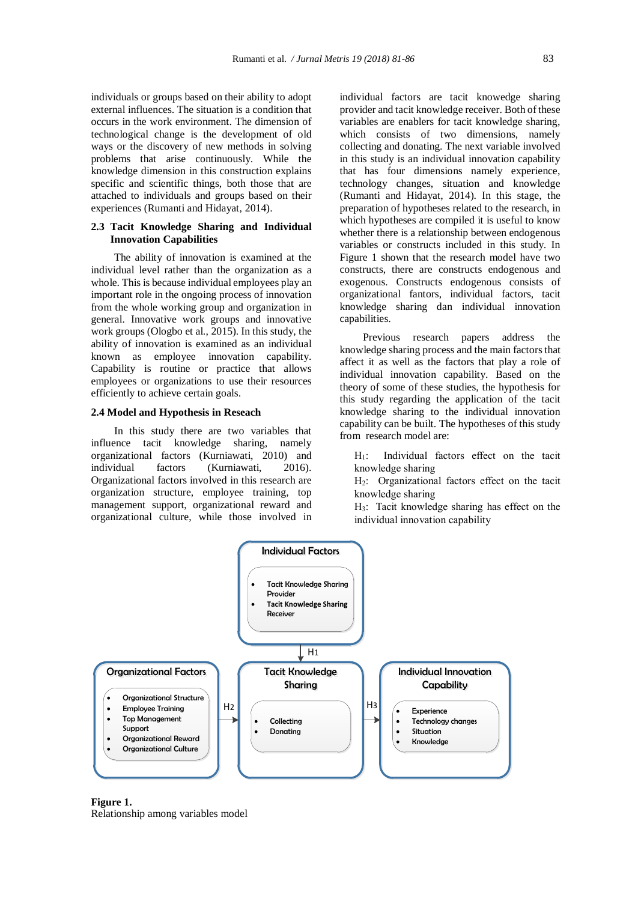individuals or groups based on their ability to adopt external influences. The situation is a condition that occurs in the work environment. The dimension of technological change is the development of old ways or the discovery of new methods in solving problems that arise continuously. While the knowledge dimension in this construction explains specific and scientific things, both those that are attached to individuals and groups based on their experiences (Rumanti and Hidayat, 2014).

## **2.3 Tacit Knowledge Sharing and Individual Innovation Capabilities**

The ability of innovation is examined at the individual level rather than the organization as a whole. This is because individual employees play an important role in the ongoing process of innovation from the whole working group and organization in general. Innovative work groups and innovative work groups (Ologbo et al., 2015). In this study, the ability of innovation is examined as an individual known as employee innovation capability. Capability is routine or practice that allows employees or organizations to use their resources efficiently to achieve certain goals.

#### **2.4 Model and Hypothesis in Reseach**

In this study there are two variables that influence tacit knowledge sharing, namely organizational factors (Kurniawati, 2010) and individual factors (Kurniawati, 2016). Organizational factors involved in this research are organization structure, employee training, top management support, organizational reward and organizational culture, while those involved in individual factors are tacit knowedge sharing provider and tacit knowledge receiver. Both of these variables are enablers for tacit knowledge sharing, which consists of two dimensions, namely collecting and donating. The next variable involved in this study is an individual innovation capability that has four dimensions namely experience, technology changes, situation and knowledge (Rumanti and Hidayat, 2014). In this stage, the preparation of hypotheses related to the research, in which hypotheses are compiled it is useful to know whether there is a relationship between endogenous variables or constructs included in this study. In Figure 1 shown that the research model have two constructs, there are constructs endogenous and exogenous. Constructs endogenous consists of organizational fantors, individual factors, tacit knowledge sharing dan individual innovation capabilities.

Previous research papers address the knowledge sharing process and the main factors that affect it as well as the factors that play a role of individual innovation capability. Based on the theory of some of these studies, the hypothesis for this study regarding the application of the tacit knowledge sharing to the individual innovation capability can be built. The hypotheses of this study from research model are:

H1: Individual factors effect on the tacit knowledge sharing

H2: Organizational factors effect on the tacit knowledge sharing

H3: Tacit knowledge sharing has effect on the individual innovation capability



**Figure 1.**  Relationship among variables model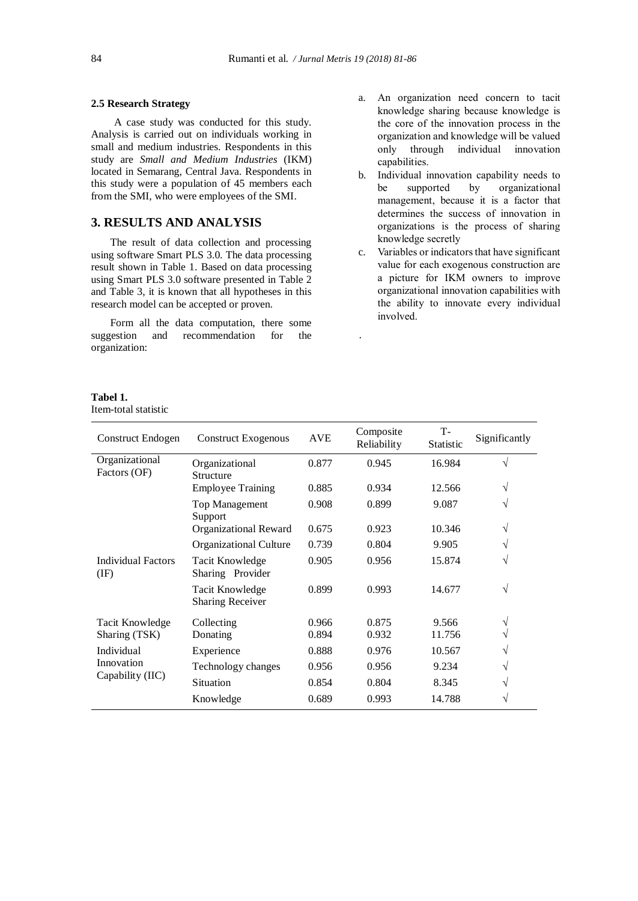#### **2.5 Research Strategy**

A case study was conducted for this study. Analysis is carried out on individuals working in small and medium industries. Respondents in this study are *Small and Medium Industries* (IKM) located in Semarang, Central Java. Respondents in this study were a population of 45 members each from the SMI, who were employees of the SMI.

# **3. RESULTS AND ANALYSIS**

The result of data collection and processing using software Smart PLS 3.0. The data processing result shown in Table 1. Based on data processing using Smart PLS 3.0 software presented in Table 2 and Table 3, it is known that all hypotheses in this research model can be accepted or proven.

Form all the data computation, there some suggestion and recommendation for the organization:

## **Tabel 1.**

Item-total statistic

- a. An organization need concern to tacit knowledge sharing because knowledge is the core of the innovation process in the organization and knowledge will be valued only through individual innovation capabilities.
- b. Individual innovation capability needs to be supported by organizational management, because it is a factor that determines the success of innovation in organizations is the process of sharing knowledge secretly
- c. Variables or indicators that have significant value for each exogenous construction are a picture for IKM owners to improve organizational innovation capabilities with the ability to innovate every individual involved.

| <b>Construct Endogen</b>                     | <b>Construct Exogenous</b>                        | <b>AVE</b> | Composite<br>Reliability | T-<br><b>Statistic</b> | Significantly |
|----------------------------------------------|---------------------------------------------------|------------|--------------------------|------------------------|---------------|
| Organizational<br>Factors (OF)               | Organizational<br>Structure                       | 0.877      | 0.945                    | 16.984                 | $\sqrt{ }$    |
|                                              | <b>Employee Training</b>                          | 0.885      | 0.934                    | 12.566                 | V             |
|                                              | <b>Top Management</b><br>Support                  | 0.908      | 0.899                    | 9.087                  | V             |
|                                              | Organizational Reward                             | 0.675      | 0.923                    | 10.346                 | V             |
|                                              | <b>Organizational Culture</b>                     | 0.739      | 0.804                    | 9.905                  |               |
| <b>Individual Factors</b><br>$(\mathrm{IF})$ | Tacit Knowledge<br>Sharing Provider               | 0.905      | 0.956                    | 15.874                 | V             |
|                                              | <b>Tacit Knowledge</b><br><b>Sharing Receiver</b> | 0.899      | 0.993                    | 14.677                 | V             |
| Tacit Knowledge<br>Sharing (TSK)             | Collecting                                        | 0.966      | 0.875                    | 9.566                  | V             |
|                                              | Donating                                          | 0.894      | 0.932                    | 11.756                 |               |
| Individual<br>Innovation<br>Capability (IIC) | Experience                                        | 0.888      | 0.976                    | 10.567                 | V             |
|                                              | Technology changes                                | 0.956      | 0.956                    | 9.234                  | V             |
|                                              | <b>Situation</b>                                  | 0.854      | 0.804                    | 8.345                  | N             |
|                                              | Knowledge                                         | 0.689      | 0.993                    | 14.788                 | V             |

.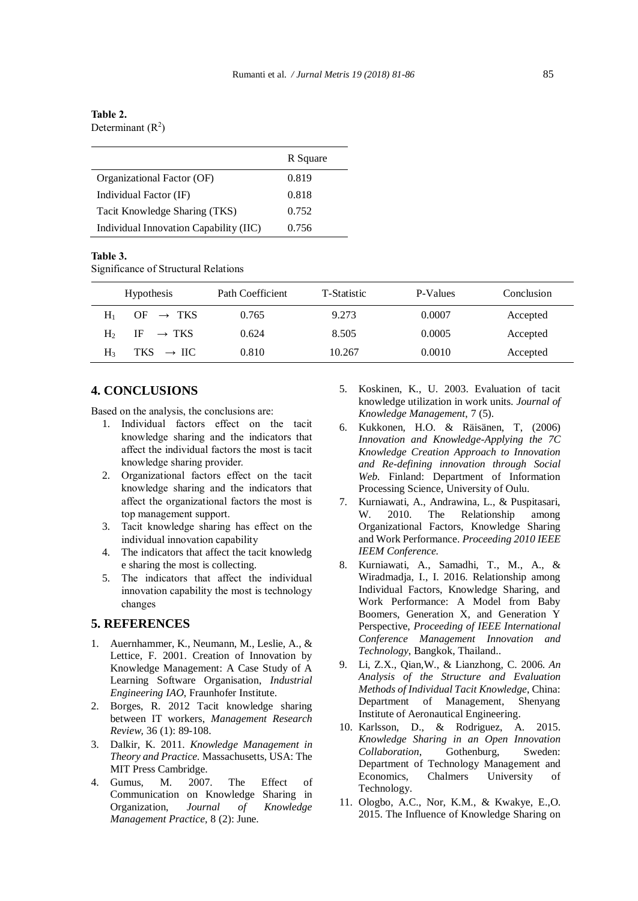## **Table 2.** Determinant  $(R<sup>2</sup>)$

|                                        | R Square |
|----------------------------------------|----------|
| Organizational Factor (OF)             | 0.819    |
| Individual Factor (IF)                 | 0.818    |
| Tacit Knowledge Sharing (TKS)          | 0.752    |
| Individual Innovation Capability (IIC) | 0.756    |

#### **Table 3.**

Significance of Structural Relations

| <b>Hypothesis</b>                      | Path Coefficient | T-Statistic | P-Values | Conclusion |
|----------------------------------------|------------------|-------------|----------|------------|
| OF $\rightarrow$ TKS<br>H              | 0.765            | 9.273       | 0.0007   | Accepted   |
| IF $\rightarrow$ TKS<br>H <sub>2</sub> | 0.624            | 8.505       | 0.0005   | Accepted   |
| TKS $\rightarrow$ IIC<br>H٩            | 0.810            | 10.267      | 0.0010   | Accepted   |

## **4. CONCLUSIONS**

Based on the analysis, the conclusions are:

- 1. Individual factors effect on the tacit knowledge sharing and the indicators that affect the individual factors the most is tacit knowledge sharing provider.
- 2. Organizational factors effect on the tacit knowledge sharing and the indicators that affect the organizational factors the most is top management support.
- 3. Tacit knowledge sharing has effect on the individual innovation capability
- 4. The indicators that affect the tacit knowledg e sharing the most is collecting.
- 5. The indicators that affect the individual innovation capability the most is technology changes

## **5. REFERENCES**

- 1. Auernhammer, K., Neumann, M., Leslie, A., & Lettice, F. 2001. Creation of Innovation by Knowledge Management: A Case Study of A Learning Software Organisation, *Industrial Engineering IAO*, Fraunhofer Institute.
- 2. Borges, R. 2012 Tacit knowledge sharing between IT workers, *Management Research Review,* 36 (1): 89-108.
- 3. Dalkir, K. 2011. *Knowledge Management in Theory and Practice.* Massachusetts, USA: The MIT Press Cambridge.
- 4. Gumus, M. 2007. The Effect of Communication on Knowledge Sharing in Organization, *Journal of Knowledge Management Practice,* 8 (2): June.
- 5. Koskinen, K., U. 2003. Evaluation of tacit knowledge utilization in work units. *Journal of Knowledge Management*, 7 (5).
- 6. Kukkonen, H.O. & Räisänen, T, (2006) *Innovation and Knowledge-Applying the 7C Knowledge Creation Approach to Innovation and Re-defining innovation through Social Web.* Finland: Department of Information Processing Science, University of Oulu.
- 7. Kurniawati, A., Andrawina, L., & Puspitasari, W. 2010. The Relationship among Organizational Factors, Knowledge Sharing and Work Performance. *Proceeding 2010 IEEE IEEM Conference.*
- 8. Kurniawati, A., Samadhi, T., M., A., & Wiradmadja, I., I. 2016. Relationship among Individual Factors, Knowledge Sharing, and Work Performance: A Model from Baby Boomers, Generation X, and Generation Y Perspective, *Proceeding of IEEE International Conference Management Innovation and Technology*, Bangkok, Thailand..
- 9. Li, Z.X., Qian,W., & Lianzhong, C. 2006. *An Analysis of the Structure and Evaluation Methods of Individual Tacit Knowledge*, China: Department of Management, Shenyang Institute of Aeronautical Engineering.
- 10. Karlsson, D., & Rodriguez, A. 2015. *Knowledge Sharing in an Open Innovation Collaboration*, Gothenburg, Sweden: Department of Technology Management and Economics, Chalmers University of Technology.
- 11. Ologbo, A.C., Nor, K.M., & Kwakye, E.,O. 2015. The Influence of Knowledge Sharing on